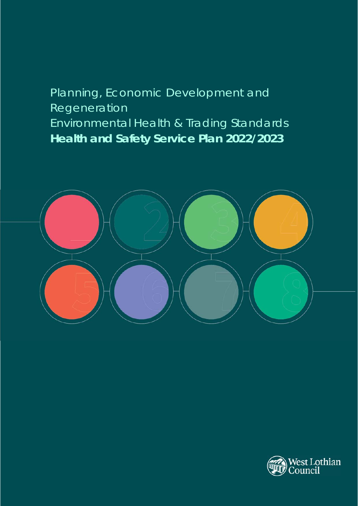# Planning, Economic Development and Regeneration Environmental Health & Trading Standards **Health and Safety Service Plan 2022/2023**



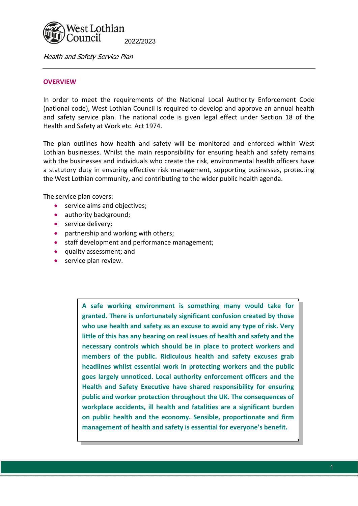

#### **OVERVIEW**

In order to meet the requirements of the National Local Authority Enforcement Code (national code), West Lothian Council is required to develop and approve an annual health and safety service plan. The national code is given legal effect under Section 18 of the Health and Safety at Work etc. Act 1974.

The plan outlines how health and safety will be monitored and enforced within West Lothian businesses. Whilst the main responsibility for ensuring health and safety remains with the businesses and individuals who create the risk, environmental health officers have a statutory duty in ensuring effective risk management, supporting businesses, protecting the West Lothian community, and contributing to the wider public health agenda.

The service plan covers:

- **•** service aims and objectives;
- authority background;
- service delivery;
- partnership and working with others;
- **•** staff development and performance management;
- quality assessment; and
- service plan review.

**A safe working environment is something many would take for granted. There is unfortunately significant confusion created by those who use health and safety as an excuse to avoid any type of risk. Very little of this has any bearing on real issues of health and safety and the necessary controls which should be in place to protect workers and members of the public. Ridiculous health and safety excuses grab headlines whilst essential work in protecting workers and the public goes largely unnoticed. Local authority enforcement officers and the Health and Safety Executive have shared responsibility for ensuring public and worker protection throughout the UK. The consequences of workplace accidents, ill health and fatalities are a significant burden on public health and the economy. Sensible, proportionate and firm management of health and safety is essential for everyone's benefit.**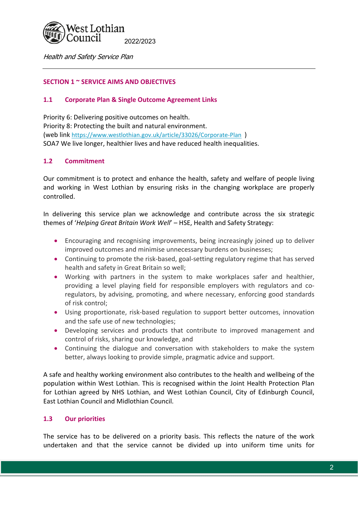## Vest Lothian ouncil 2022/2023

Health and Safety Service Plan

# **SECTION 1 ~ SERVICE AIMS AND OBJECTIVES**

# **1.1 Corporate Plan & Single Outcome Agreement Links**

Priority 6: Delivering positive outcomes on health. Priority 8: Protecting the built and natural environment. (web link https://www.westlothian.gov.uk/article/33026/Corporate‐Plan ) SOA7 We live longer, healthier lives and have reduced health inequalities.

# **1.2 Commitment**

Our commitment is to protect and enhance the health, safety and welfare of people living and working in West Lothian by ensuring risks in the changing workplace are properly controlled.

In delivering this service plan we acknowledge and contribute across the six strategic themes of '*Helping Great Britain Work Well*' – HSE, Health and Safety Strategy:

- Encouraging and recognising improvements, being increasingly joined up to deliver improved outcomes and minimise unnecessary burdens on businesses;
- Continuing to promote the risk-based, goal-setting regulatory regime that has served health and safety in Great Britain so well;
- Working with partners in the system to make workplaces safer and healthier, providing a level playing field for responsible employers with regulators and coregulators, by advising, promoting, and where necessary, enforcing good standards of risk control;
- Using proportionate, risk-based regulation to support better outcomes, innovation and the safe use of new technologies;
- Developing services and products that contribute to improved management and control of risks, sharing our knowledge, and
- Continuing the dialogue and conversation with stakeholders to make the system better, always looking to provide simple, pragmatic advice and support.

A safe and healthy working environment also contributes to the health and wellbeing of the population within West Lothian. This is recognised within the Joint Health Protection Plan for Lothian agreed by NHS Lothian, and West Lothian Council, City of Edinburgh Council, East Lothian Council and Midlothian Council.

# **1.3 Our priorities**

The service has to be delivered on a priority basis. This reflects the nature of the work undertaken and that the service cannot be divided up into uniform time units for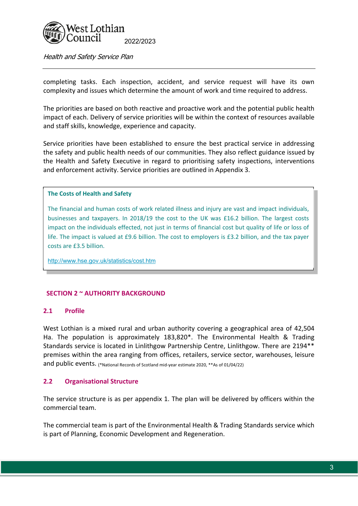

completing tasks. Each inspection, accident, and service request will have its own complexity and issues which determine the amount of work and time required to address.

The priorities are based on both reactive and proactive work and the potential public health impact of each. Delivery of service priorities will be within the context of resources available and staff skills, knowledge, experience and capacity.

Service priorities have been established to ensure the best practical service in addressing the safety and public health needs of our communities. They also reflect guidance issued by the Health and Safety Executive in regard to prioritising safety inspections, interventions and enforcement activity. Service priorities are outlined in Appendix 3.

#### **The Costs of Health and Safety**

The financial and human costs of work related illness and injury are vast and impact individuals, businesses and taxpayers. In 2018/19 the cost to the UK was £16.2 billion. The largest costs impact on the individuals effected, not just in terms of financial cost but quality of life or loss of life. The impact is valued at £9.6 billion. The cost to employers is £3.2 billion, and the tax payer costs are £3.5 billion.

http://www.hse.gov.uk/statistics/cost.htm

#### **SECTION 2 ~ AUTHORITY BACKGROUND**

#### **2.1 Profile**

West Lothian is a mixed rural and urban authority covering a geographical area of 42,504 Ha. The population is approximately 183,820\*. The Environmental Health & Trading Standards service is located in Linlithgow Partnership Centre, Linlithgow. There are 2194\*\* premises within the area ranging from offices, retailers, service sector, warehouses, leisure and public events. (\*National Records of Scotland mid-year estimate 2020, \*\*As of 01/04/22)

#### **2.2 Organisational Structure**

The service structure is as per appendix 1. The plan will be delivered by officers within the commercial team.

The commercial team is part of the Environmental Health & Trading Standards service which is part of Planning, Economic Development and Regeneration.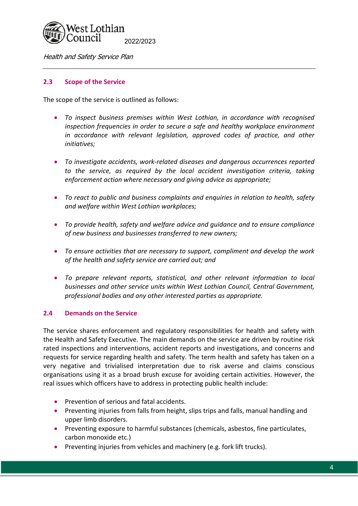

## **2.3 Scope of the Service**

The scope of the service is outlined as follows:

- *To inspect business premises within West Lothian, in accordance with recognised inspection frequencies in order to secure a safe and healthy workplace environment in accordance with relevant legislation, approved codes of practice, and other initiatives;*
- *To investigate accidents, work‐related diseases and dangerous occurrences reported to the service, as required by the local accident investigation criteria, taking enforcement action where necessary and giving advice as appropriate;*
- *To react to public and business complaints and enquiries in relation to health, safety and welfare within West Lothian workplaces;*
- *To provide health, safety and welfare advice and guidance and to ensure compliance of new business and businesses transferred to new owners;*
- *To ensure activities that are necessary to support, compliment and develop the work of the health and safety service are carried out; and*
- *To prepare relevant reports, statistical, and other relevant information to local businesses and other service units within West Lothian Council, Central Government, professional bodies and any other interested parties as appropriate.*

## **2.4 Demands on the Service**

The service shares enforcement and regulatory responsibilities for health and safety with the Health and Safety Executive. The main demands on the service are driven by routine risk rated inspections and interventions, accident reports and investigations, and concerns and requests for service regarding health and safety. The term health and safety has taken on a very negative and trivialised interpretation due to risk averse and claims conscious organisations using it as a broad brush excuse for avoiding certain activities. However, the real issues which officers have to address in protecting public health include:

- **•** Prevention of serious and fatal accidents.
- Preventing injuries from falls from height, slips trips and falls, manual handling and upper limb disorders.
- Preventing exposure to harmful substances (chemicals, asbestos, fine particulates, carbon monoxide etc.)
- Preventing injuries from vehicles and machinery (e.g. fork lift trucks).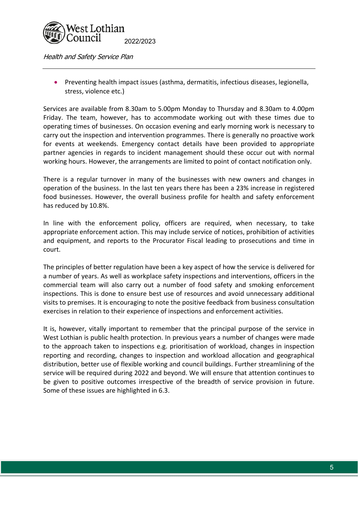

 Preventing health impact issues (asthma, dermatitis, infectious diseases, legionella, stress, violence etc.)

Services are available from 8.30am to 5.00pm Monday to Thursday and 8.30am to 4.00pm Friday. The team, however, has to accommodate working out with these times due to operating times of businesses. On occasion evening and early morning work is necessary to carry out the inspection and intervention programmes. There is generally no proactive work for events at weekends. Emergency contact details have been provided to appropriate partner agencies in regards to incident management should these occur out with normal working hours. However, the arrangements are limited to point of contact notification only.

There is a regular turnover in many of the businesses with new owners and changes in operation of the business. In the last ten years there has been a 23% increase in registered food businesses. However, the overall business profile for health and safety enforcement has reduced by 10.8%.

In line with the enforcement policy, officers are required, when necessary, to take appropriate enforcement action. This may include service of notices, prohibition of activities and equipment, and reports to the Procurator Fiscal leading to prosecutions and time in court.

The principles of better regulation have been a key aspect of how the service is delivered for a number of years. As well as workplace safety inspections and interventions, officers in the commercial team will also carry out a number of food safety and smoking enforcement inspections. This is done to ensure best use of resources and avoid unnecessary additional visits to premises. It is encouraging to note the positive feedback from business consultation exercises in relation to their experience of inspections and enforcement activities.

It is, however, vitally important to remember that the principal purpose of the service in West Lothian is public health protection. In previous years a number of changes were made to the approach taken to inspections e.g. prioritisation of workload, changes in inspection reporting and recording, changes to inspection and workload allocation and geographical distribution, better use of flexible working and council buildings. Further streamlining of the service will be required during 2022 and beyond. We will ensure that attention continues to be given to positive outcomes irrespective of the breadth of service provision in future. Some of these issues are highlighted in 6.3.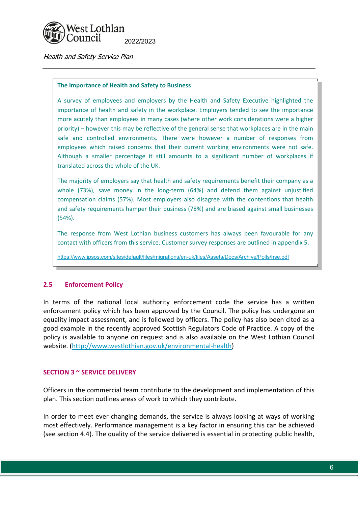

#### **The Importance of Health and Safety to Business**

A survey of employees and employers by the Health and Safety Executive highlighted the importance of health and safety in the workplace. Employers tended to see the importance more acutely than employees in many cases (where other work considerations were a higher priority) – however this may be reflective of the general sense that workplaces are in the main safe and controlled environments. There were however a number of responses from employees which raised concerns that their current working environments were not safe. Although a smaller percentage it still amounts to a significant number of workplaces if translated across the whole of the UK.

The majority of employers say that health and safety requirements benefit their company as a whole (73%), save money in the long-term (64%) and defend them against unjustified compensation claims (57%). Most employers also disagree with the contentions that health and safety requirements hamper their business (78%) and are biased against small businesses (54%).

The response from West Lothian business customers has always been favourable for any contact with officers from this service. Customer survey responses are outlined in appendix 5.

https://www.ipsos.com/sites/default/files/migrations/en-uk/files/Assets/Docs/Archive/Polls/hse.pdf

## **2.5 Enforcement Policy**

In terms of the national local authority enforcement code the service has a written enforcement policy which has been approved by the Council. The policy has undergone an equality impact assessment, and is followed by officers. The policy has also been cited as a good example in the recently approved Scottish Regulators Code of Practice. A copy of the policy is available to anyone on request and is also available on the West Lothian Council website. (http://www.westlothian.gov.uk/environmental‐health)

#### **SECTION 3 ~ SERVICE DELIVERY**

Officers in the commercial team contribute to the development and implementation of this plan. This section outlines areas of work to which they contribute.

In order to meet ever changing demands, the service is always looking at ways of working most effectively. Performance management is a key factor in ensuring this can be achieved (see section 4.4). The quality of the service delivered is essential in protecting public health,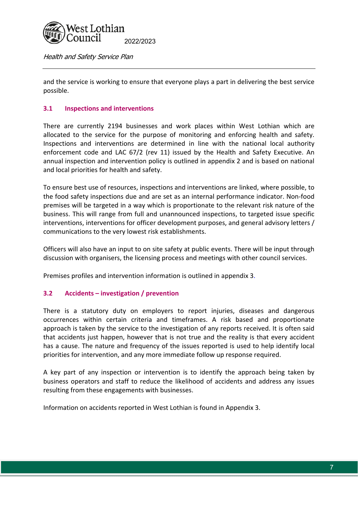

and the service is working to ensure that everyone plays a part in delivering the best service possible.

# **3.1 Inspections and interventions**

There are currently 2194 businesses and work places within West Lothian which are allocated to the service for the purpose of monitoring and enforcing health and safety. Inspections and interventions are determined in line with the national local authority enforcement code and LAC 67/2 (rev 11) issued by the Health and Safety Executive. An annual inspection and intervention policy is outlined in appendix 2 and is based on national and local priorities for health and safety.

To ensure best use of resources, inspections and interventions are linked, where possible, to the food safety inspections due and are set as an internal performance indicator. Non‐food premises will be targeted in a way which is proportionate to the relevant risk nature of the business. This will range from full and unannounced inspections, to targeted issue specific interventions, interventions for officer development purposes, and general advisory letters / communications to the very lowest risk establishments.

Officers will also have an input to on site safety at public events. There will be input through discussion with organisers, the licensing process and meetings with other council services.

Premises profiles and intervention information is outlined in appendix 3.

## **3.2 Accidents – investigation / prevention**

There is a statutory duty on employers to report injuries, diseases and dangerous occurrences within certain criteria and timeframes. A risk based and proportionate approach is taken by the service to the investigation of any reports received. It is often said that accidents just happen, however that is not true and the reality is that every accident has a cause. The nature and frequency of the issues reported is used to help identify local priorities for intervention, and any more immediate follow up response required.

A key part of any inspection or intervention is to identify the approach being taken by business operators and staff to reduce the likelihood of accidents and address any issues resulting from these engagements with businesses.

Information on accidents reported in West Lothian is found in Appendix 3.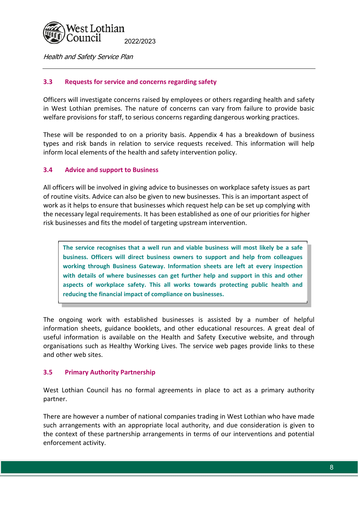

# **3.3 Requests for service and concerns regarding safety**

Officers will investigate concerns raised by employees or others regarding health and safety in West Lothian premises. The nature of concerns can vary from failure to provide basic welfare provisions for staff, to serious concerns regarding dangerous working practices.

These will be responded to on a priority basis. Appendix 4 has a breakdown of business types and risk bands in relation to service requests received. This information will help inform local elements of the health and safety intervention policy.

## **3.4 Advice and support to Business**

All officers will be involved in giving advice to businesses on workplace safety issues as part of routine visits. Advice can also be given to new businesses. This is an important aspect of work as it helps to ensure that businesses which request help can be set up complying with the necessary legal requirements. It has been established as one of our priorities for higher risk businesses and fits the model of targeting upstream intervention.

**The service recognises that a well run and viable business will most likely be a safe business. Officers will direct business owners to support and help from colleagues working through Business Gateway. Information sheets are left at every inspection with details of where businesses can get further help and support in this and other aspects of workplace safety. This all works towards protecting public health and reducing the financial impact of compliance on businesses.** 

The ongoing work with established businesses is assisted by a number of helpful information sheets, guidance booklets, and other educational resources. A great deal of useful information is available on the Health and Safety Executive website, and through organisations such as Healthy Working Lives. The service web pages provide links to these and other web sites.

## **3.5 Primary Authority Partnership**

West Lothian Council has no formal agreements in place to act as a primary authority partner.

There are however a number of national companies trading in West Lothian who have made such arrangements with an appropriate local authority, and due consideration is given to the context of these partnership arrangements in terms of our interventions and potential enforcement activity.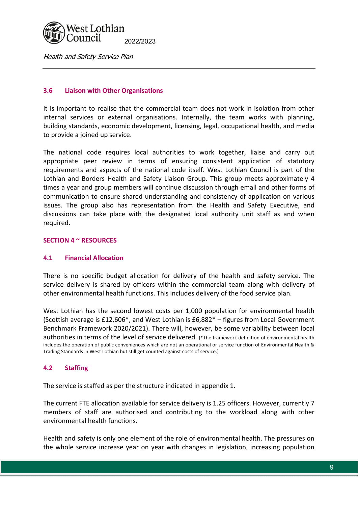

# **3.6 Liaison with Other Organisations**

It is important to realise that the commercial team does not work in isolation from other internal services or external organisations. Internally, the team works with planning, building standards, economic development, licensing, legal, occupational health, and media to provide a joined up service.

The national code requires local authorities to work together, liaise and carry out appropriate peer review in terms of ensuring consistent application of statutory requirements and aspects of the national code itself. West Lothian Council is part of the Lothian and Borders Health and Safety Liaison Group. This group meets approximately 4 times a year and group members will continue discussion through email and other forms of communication to ensure shared understanding and consistency of application on various issues. The group also has representation from the Health and Safety Executive, and discussions can take place with the designated local authority unit staff as and when required.

#### **SECTION 4 ~ RESOURCES**

#### **4.1 Financial Allocation**

There is no specific budget allocation for delivery of the health and safety service. The service delivery is shared by officers within the commercial team along with delivery of other environmental health functions. This includes delivery of the food service plan.

West Lothian has the second lowest costs per 1,000 population for environmental health (Scottish average is £12,606\*, and West Lothian is £6,882\* – figures from Local Government Benchmark Framework 2020/2021). There will, however, be some variability between local authorities in terms of the level of service delivered. (\*The framework definition of environmental health includes the operation of public conveniences which are not an operational or service function of Environmental Health & Trading Standards in West Lothian but still get counted against costs of service.)

## **4.2 Staffing**

The service is staffed as per the structure indicated in appendix 1.

The current FTE allocation available for service delivery is 1.25 officers. However, currently 7 members of staff are authorised and contributing to the workload along with other environmental health functions.

Health and safety is only one element of the role of environmental health. The pressures on the whole service increase year on year with changes in legislation, increasing population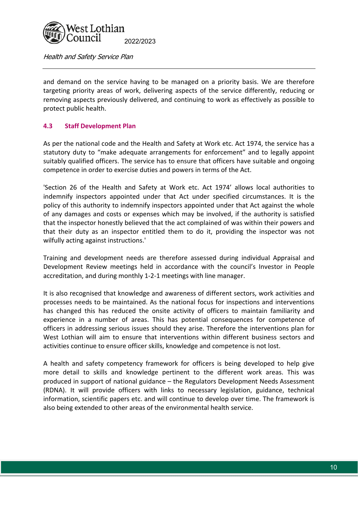

and demand on the service having to be managed on a priority basis. We are therefore targeting priority areas of work, delivering aspects of the service differently, reducing or removing aspects previously delivered, and continuing to work as effectively as possible to protect public health.

# **4.3 Staff Development Plan**

As per the national code and the Health and Safety at Work etc. Act 1974, the service has a statutory duty to "make adequate arrangements for enforcement" and to legally appoint suitably qualified officers. The service has to ensure that officers have suitable and ongoing competence in order to exercise duties and powers in terms of the Act.

'Section 26 of the Health and Safety at Work etc. Act 1974' allows local authorities to indemnify inspectors appointed under that Act under specified circumstances. It is the policy of this authority to indemnify inspectors appointed under that Act against the whole of any damages and costs or expenses which may be involved, if the authority is satisfied that the inspector honestly believed that the act complained of was within their powers and that their duty as an inspector entitled them to do it, providing the inspector was not wilfully acting against instructions.'

Training and development needs are therefore assessed during individual Appraisal and Development Review meetings held in accordance with the council's Investor in People accreditation, and during monthly 1‐2‐1 meetings with line manager.

It is also recognised that knowledge and awareness of different sectors, work activities and processes needs to be maintained. As the national focus for inspections and interventions has changed this has reduced the onsite activity of officers to maintain familiarity and experience in a number of areas. This has potential consequences for competence of officers in addressing serious issues should they arise. Therefore the interventions plan for West Lothian will aim to ensure that interventions within different business sectors and activities continue to ensure officer skills, knowledge and competence is not lost.

A health and safety competency framework for officers is being developed to help give more detail to skills and knowledge pertinent to the different work areas. This was produced in support of national guidance – the Regulators Development Needs Assessment (RDNA). It will provide officers with links to necessary legislation, guidance, technical information, scientific papers etc. and will continue to develop over time. The framework is also being extended to other areas of the environmental health service.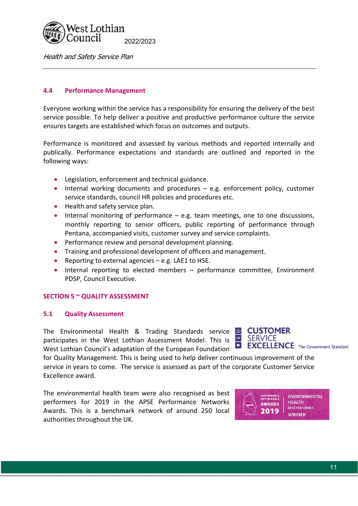

## **4.4 Performance Management**

Everyone working within the service has a responsibility for ensuring the delivery of the best service possible. To help deliver a positive and productive performance culture the service ensures targets are established which focus on outcomes and outputs.

Performance is monitored and assessed by various methods and reported internally and publically. Performance expectations and standards are outlined and reported in the following ways:

- Legislation, enforcement and technical guidance.
- $\bullet$  Internal working documents and procedures  $-$  e.g. enforcement policy, customer service standards, council HR policies and procedures etc.
- Health and safety service plan.
- $\bullet$  Internal monitoring of performance  $-$  e.g. team meetings, one to one discussions, monthly reporting to senior officers, public reporting of performance through Pentana, accompanied visits, customer survey and service complaints.
- **•** Performance review and personal development planning.
- Training and professional development of officers and management.
- Reporting to external agencies e.g. LAE1 to HSE.
- Internal reporting to elected members performance committee, Environment PDSP, Council Executive.

## **SECTION 5 ~ QUALITY ASSESSMENT**

#### **5.1 Quality Assessment**

The Environmental Health & Trading Standards service **b** participates in the West Lothian Assessment Model. This is West Lothian Council's adaptation of the European Foundation



for Quality Management. This is being used to help deliver continuous improvement of the service in years to come. The service is assessed as part of the corporate Customer Service Excellence award.

The environmental health team were also recognised as best performers for 2019 in the APSE Performance Networks Awards. This is a benchmark network of around 250 local authorities throughout the UK.

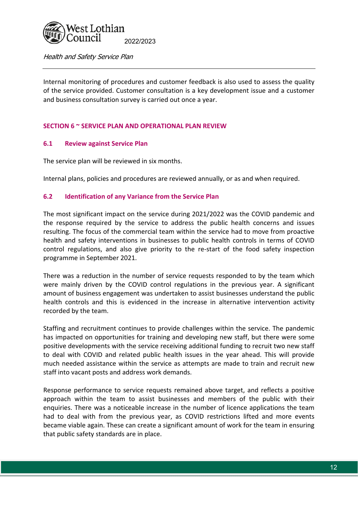

Internal monitoring of procedures and customer feedback is also used to assess the quality of the service provided. Customer consultation is a key development issue and a customer and business consultation survey is carried out once a year.

## **SECTION 6 ~ SERVICE PLAN AND OPERATIONAL PLAN REVIEW**

#### **6.1 Review against Service Plan**

The service plan will be reviewed in six months.

Internal plans, policies and procedures are reviewed annually, or as and when required.

#### **6.2 Identification of any Variance from the Service Plan**

The most significant impact on the service during 2021/2022 was the COVID pandemic and the response required by the service to address the public health concerns and issues resulting. The focus of the commercial team within the service had to move from proactive health and safety interventions in businesses to public health controls in terms of COVID control regulations, and also give priority to the re-start of the food safety inspection programme in September 2021.

There was a reduction in the number of service requests responded to by the team which were mainly driven by the COVID control regulations in the previous year. A significant amount of business engagement was undertaken to assist businesses understand the public health controls and this is evidenced in the increase in alternative intervention activity recorded by the team.

Staffing and recruitment continues to provide challenges within the service. The pandemic has impacted on opportunities for training and developing new staff, but there were some positive developments with the service receiving additional funding to recruit two new staff to deal with COVID and related public health issues in the year ahead. This will provide much needed assistance within the service as attempts are made to train and recruit new staff into vacant posts and address work demands.

Response performance to service requests remained above target, and reflects a positive approach within the team to assist businesses and members of the public with their enquiries. There was a noticeable increase in the number of licence applications the team had to deal with from the previous year, as COVID restrictions lifted and more events became viable again. These can create a significant amount of work for the team in ensuring that public safety standards are in place.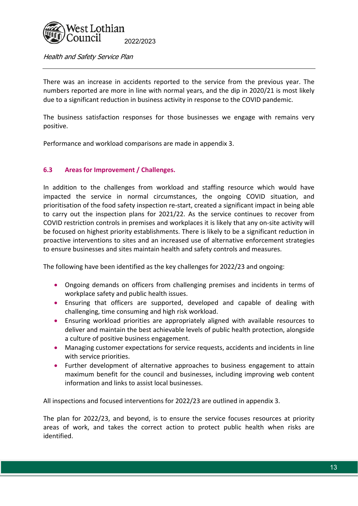

There was an increase in accidents reported to the service from the previous year. The numbers reported are more in line with normal years, and the dip in 2020/21 is most likely due to a significant reduction in business activity in response to the COVID pandemic.

The business satisfaction responses for those businesses we engage with remains very positive.

Performance and workload comparisons are made in appendix 3.

## **6.3 Areas for Improvement / Challenges.**

In addition to the challenges from workload and staffing resource which would have impacted the service in normal circumstances, the ongoing COVID situation, and prioritisation of the food safety inspection re‐start, created a significant impact in being able to carry out the inspection plans for 2021/22. As the service continues to recover from COVID restriction controls in premises and workplaces it is likely that any on‐site activity will be focused on highest priority establishments. There is likely to be a significant reduction in proactive interventions to sites and an increased use of alternative enforcement strategies to ensure businesses and sites maintain health and safety controls and measures.

The following have been identified as the key challenges for 2022/23 and ongoing:

- Ongoing demands on officers from challenging premises and incidents in terms of workplace safety and public health issues.
- Ensuring that officers are supported, developed and capable of dealing with challenging, time consuming and high risk workload.
- Ensuring workload priorities are appropriately aligned with available resources to deliver and maintain the best achievable levels of public health protection, alongside a culture of positive business engagement.
- Managing customer expectations for service requests, accidents and incidents in line with service priorities.
- Further development of alternative approaches to business engagement to attain maximum benefit for the council and businesses, including improving web content information and links to assist local businesses.

All inspections and focused interventions for 2022/23 are outlined in appendix 3.

The plan for 2022/23, and beyond, is to ensure the service focuses resources at priority areas of work, and takes the correct action to protect public health when risks are identified.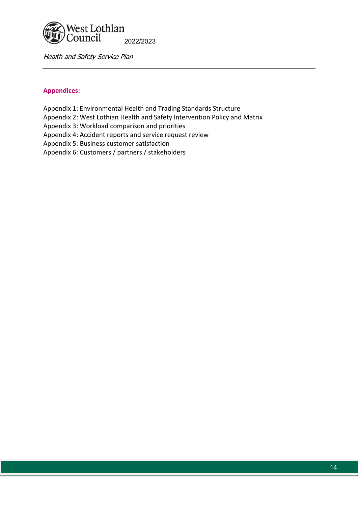

# **Appendices:**

- Appendix 1: Environmental Health and Trading Standards Structure
- Appendix 2: West Lothian Health and Safety Intervention Policy and Matrix
- Appendix 3: Workload comparison and priorities
- Appendix 4: Accident reports and service request review
- Appendix 5: Business customer satisfaction
- Appendix 6: Customers / partners / stakeholders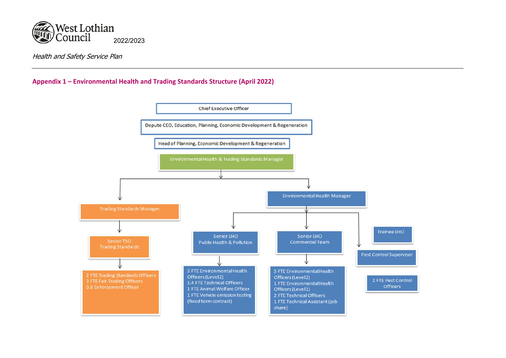

# **Appendix 1 – Environmental Health and Trading Standards Structure (April 2022)**

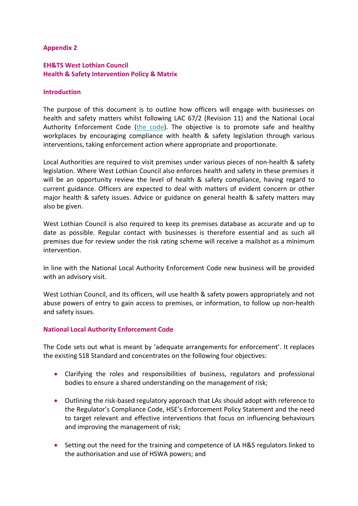# **Appendix 2**

# **EH&TS West Lothian Council Health & Safety Intervention Policy & Matrix**

#### **Introduction**

The purpose of this document is to outline how officers will engage with businesses on health and safety matters whilst following LAC 67/2 (Revision 11) and the National Local Authority Enforcement Code (the code). The objective is to promote safe and healthy workplaces by encouraging compliance with health & safety legislation through various interventions, taking enforcement action where appropriate and proportionate.

Local Authorities are required to visit premises under various pieces of non-health & safety legislation. Where West Lothian Council also enforces health and safety in these premises it will be an opportunity review the level of health & safety compliance, having regard to current guidance. Officers are expected to deal with matters of evident concern or other major health & safety issues. Advice or guidance on general health & safety matters may also be given.

West Lothian Council is also required to keep its premises database as accurate and up to date as possible. Regular contact with businesses is therefore essential and as such all premises due for review under the risk rating scheme will receive a mailshot as a minimum intervention.

In line with the National Local Authority Enforcement Code new business will be provided with an advisory visit.

West Lothian Council, and its officers, will use health & safety powers appropriately and not abuse powers of entry to gain access to premises, or information, to follow up non‐health and safety issues.

## **National Local Authority Enforcement Code**

The Code sets out what is meant by 'adequate arrangements for enforcement'. It replaces the existing S18 Standard and concentrates on the following four objectives:

- Clarifying the roles and responsibilities of business, regulators and professional bodies to ensure a shared understanding on the management of risk;
- Outlining the risk-based regulatory approach that LAs should adopt with reference to the Regulator's Compliance Code, HSE's Enforcement Policy Statement and the need to target relevant and effective interventions that focus on influencing behaviours and improving the management of risk;
- Setting out the need for the training and competence of LA H&S regulators linked to the authorisation and use of HSWA powers; and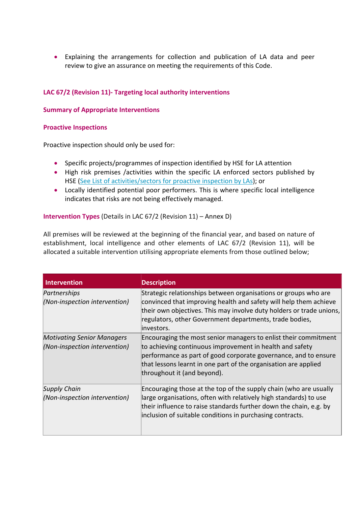Explaining the arrangements for collection and publication of LA data and peer review to give an assurance on meeting the requirements of this Code.

# **LAC 67/2 (Revision 11)‐ Targeting local authority interventions**

#### **Summary of Appropriate Interventions**

#### **Proactive Inspections**

Proactive inspection should only be used for:

- Specific projects/programmes of inspection identified by HSE for LA attention
- High risk premises /activities within the specific LA enforced sectors published by HSE (See List of activities/sectors for proactive inspection by LAs); or
- Locally identified potential poor performers. This is where specific local intelligence indicates that risks are not being effectively managed.

#### **Intervention Types** (Details in LAC 67/2 (Revision 11) – Annex D)

All premises will be reviewed at the beginning of the financial year, and based on nature of establishment, local intelligence and other elements of LAC 67/2 (Revision 11), will be allocated a suitable intervention utilising appropriate elements from those outlined below;

| <b>Intervention</b>                                                | <b>Description</b>                                                                                                                                                                                                                                                                               |
|--------------------------------------------------------------------|--------------------------------------------------------------------------------------------------------------------------------------------------------------------------------------------------------------------------------------------------------------------------------------------------|
| Partnerships<br>(Non-inspection intervention)                      | Strategic relationships between organisations or groups who are<br>convinced that improving health and safety will help them achieve<br>their own objectives. This may involve duty holders or trade unions,<br>regulators, other Government departments, trade bodies,<br>investors.            |
| <b>Motivating Senior Managers</b><br>(Non-inspection intervention) | Encouraging the most senior managers to enlist their commitment<br>to achieving continuous improvement in health and safety<br>performance as part of good corporate governance, and to ensure<br>that lessons learnt in one part of the organisation are applied<br>throughout it (and beyond). |
| <b>Supply Chain</b><br>(Non-inspection intervention)               | Encouraging those at the top of the supply chain (who are usually<br>large organisations, often with relatively high standards) to use<br>their influence to raise standards further down the chain, e.g. by<br>inclusion of suitable conditions in purchasing contracts.                        |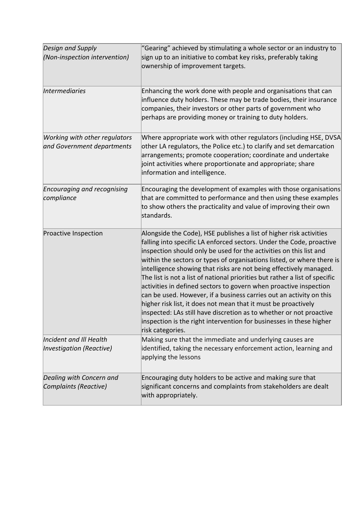| Design and Supply<br>(Non-inspection intervention)          | "Gearing" achieved by stimulating a whole sector or an industry to<br>sign up to an initiative to combat key risks, preferably taking<br>ownership of improvement targets.                                                                                                                                                                                                                                                                                                                                                                                                                                                                                                                                                                                                                                                       |
|-------------------------------------------------------------|----------------------------------------------------------------------------------------------------------------------------------------------------------------------------------------------------------------------------------------------------------------------------------------------------------------------------------------------------------------------------------------------------------------------------------------------------------------------------------------------------------------------------------------------------------------------------------------------------------------------------------------------------------------------------------------------------------------------------------------------------------------------------------------------------------------------------------|
| <i><b>Intermediaries</b></i>                                | Enhancing the work done with people and organisations that can<br>influence duty holders. These may be trade bodies, their insurance<br>companies, their investors or other parts of government who<br>perhaps are providing money or training to duty holders.                                                                                                                                                                                                                                                                                                                                                                                                                                                                                                                                                                  |
| Working with other regulators<br>and Government departments | Where appropriate work with other regulators (including HSE, DVSA<br>other LA regulators, the Police etc.) to clarify and set demarcation<br>arrangements; promote cooperation; coordinate and undertake<br>joint activities where proportionate and appropriate; share<br>information and intelligence.                                                                                                                                                                                                                                                                                                                                                                                                                                                                                                                         |
| <b>Encouraging and recognising</b><br>compliance            | Encouraging the development of examples with those organisations<br>that are committed to performance and then using these examples<br>to show others the practicality and value of improving their own<br>standards.                                                                                                                                                                                                                                                                                                                                                                                                                                                                                                                                                                                                            |
| Proactive Inspection                                        | Alongside the Code), HSE publishes a list of higher risk activities<br>falling into specific LA enforced sectors. Under the Code, proactive<br>inspection should only be used for the activities on this list and<br>within the sectors or types of organisations listed, or where there is<br>intelligence showing that risks are not being effectively managed.<br>The list is not a list of national priorities but rather a list of specific<br>activities in defined sectors to govern when proactive inspection<br>can be used. However, if a business carries out an activity on this<br>higher risk list, it does not mean that it must be proactively<br>inspected: LAs still have discretion as to whether or not proactive<br>inspection is the right intervention for businesses in these higher<br>risk categories. |
| Incident and III Health<br>Investigation (Reactive)         | Making sure that the immediate and underlying causes are<br>identified, taking the necessary enforcement action, learning and<br>applying the lessons                                                                                                                                                                                                                                                                                                                                                                                                                                                                                                                                                                                                                                                                            |
| Dealing with Concern and<br>Complaints (Reactive)           | Encouraging duty holders to be active and making sure that<br>significant concerns and complaints from stakeholders are dealt<br>with appropriately.                                                                                                                                                                                                                                                                                                                                                                                                                                                                                                                                                                                                                                                                             |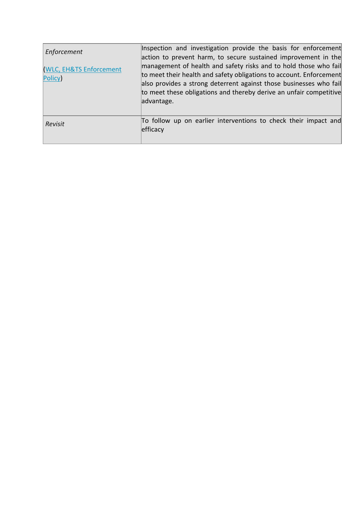| Enforcement<br><b>WLC, EH&amp;TS Enforcement</b><br>Policy) | Inspection and investigation provide the basis for enforcement<br>action to prevent harm, to secure sustained improvement in the<br>management of health and safety risks and to hold those who fail<br>to meet their health and safety obligations to account. Enforcement<br>also provides a strong deterrent against those businesses who fail |
|-------------------------------------------------------------|---------------------------------------------------------------------------------------------------------------------------------------------------------------------------------------------------------------------------------------------------------------------------------------------------------------------------------------------------|
|                                                             | to meet these obligations and thereby derive an unfair competitive<br>advantage.                                                                                                                                                                                                                                                                  |
| Revisit                                                     | To follow up on earlier interventions to check their impact and<br>efficacy                                                                                                                                                                                                                                                                       |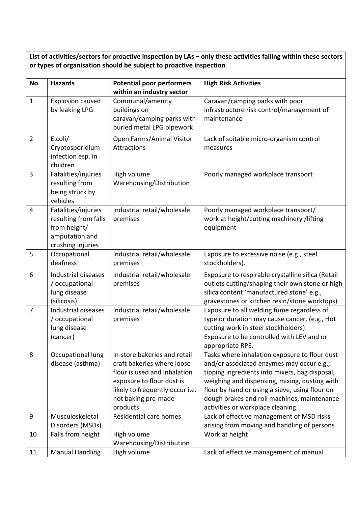**List of activities/sectors for proactive inspection by LAs – only these activities falling within these sectors or types of organisation should be subject to proactive inspection** 

| <b>No</b>      | <b>Hazards</b>                                                                                     | <b>Potential poor performers</b>                                                                                                                                                               | <b>High Risk Activities</b>                                                                                                                                                                                                                                                                                                         |
|----------------|----------------------------------------------------------------------------------------------------|------------------------------------------------------------------------------------------------------------------------------------------------------------------------------------------------|-------------------------------------------------------------------------------------------------------------------------------------------------------------------------------------------------------------------------------------------------------------------------------------------------------------------------------------|
| $\mathbf{1}$   | <b>Explosion caused</b><br>by leaking LPG                                                          | within an industry sector<br>Communal/amenity<br>buildings on<br>caravan/camping parks with<br>buried metal LPG pipework                                                                       | Caravan/camping parks with poor<br>infrastructure risk control/management of<br>maintenance                                                                                                                                                                                                                                         |
| $\overline{2}$ | E.coli/<br>Cryptosporidium<br>infection esp. in<br>children                                        | Open Farms/Animal Visitor<br>Attractions                                                                                                                                                       | Lack of suitable micro-organism control<br>measures                                                                                                                                                                                                                                                                                 |
| 3              | Fatalities/injuries<br>resulting from<br>being struck by<br>vehicles                               | High volume<br>Warehousing/Distribution                                                                                                                                                        | Poorly managed workplace transport                                                                                                                                                                                                                                                                                                  |
| 4              | Fatalities/injuries<br>resulting from falls<br>from height/<br>amputation and<br>crushing injuries | Industrial retail/wholesale<br>premises                                                                                                                                                        | Poorly managed workplace transport/<br>work at height/cutting machinery /lifting<br>equipment                                                                                                                                                                                                                                       |
| 5              | Occupational<br>deafness                                                                           | Industrial retail/wholesale<br>premises                                                                                                                                                        | Exposure to excessive noise (e.g., steel<br>stockholders).                                                                                                                                                                                                                                                                          |
| 6              | Industrial diseases<br>/ occupational<br>lung disease<br>(silicosis)                               | Industrial retail/wholesale<br>premises                                                                                                                                                        | Exposure to respirable crystalline silica (Retail<br>outlets cutting/shaping their own stone or high<br>silica content 'manufactured stone' e.g.,<br>gravestones or kitchen resin/stone worktops)                                                                                                                                   |
| $\overline{7}$ | Industrial diseases<br>/ occupational<br>lung disease<br>(cancer)                                  | Industrial retail/wholesale<br>premises                                                                                                                                                        | Exposure to all welding fume regardless of<br>type or duration may cause cancer. (e.g., Hot<br>cutting work in steel stockholders)<br>Exposure to be controlled with LEV and or<br>appropriate RPE.                                                                                                                                 |
| 8              | Occupational lung<br>disease (asthma)                                                              | In-store bakeries and retail<br>craft bakeries where loose<br>flour is used and inhalation<br>exposure to flour dust is<br>likely to frequently occur i.e.<br>not baking pre-made<br>products. | Tasks where inhalation exposure to flour dust<br>and/or associated enzymes may occur e.g.,<br>tipping ingredients into mixers, bag disposal,<br>weighing and dispensing, mixing, dusting with<br>flour by hand or using a sieve, using flour on<br>dough brakes and roll machines, maintenance<br>activities or workplace cleaning. |
| 9              | Musculoskeletal<br>Disorders (MSDs)                                                                | Residential care homes                                                                                                                                                                         | Lack of effective management of MSD risks<br>arising from moving and handling of persons                                                                                                                                                                                                                                            |
| 10             | Falls from height                                                                                  | High volume<br>Warehousing/Distribution                                                                                                                                                        | Work at height                                                                                                                                                                                                                                                                                                                      |
| 11             | <b>Manual Handling</b>                                                                             | High volume                                                                                                                                                                                    | Lack of effective management of manual                                                                                                                                                                                                                                                                                              |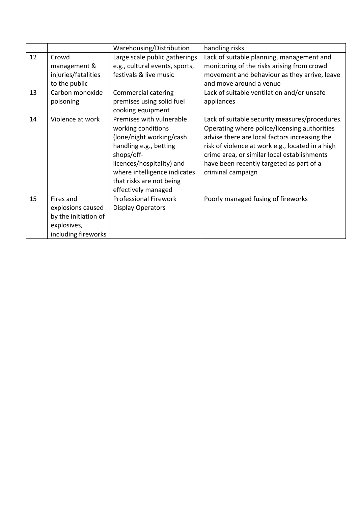|    |                                                                                              | Warehousing/Distribution                                                                                                                                                                                                           | handling risks                                                                                                                                                                                                                                                                                                      |  |
|----|----------------------------------------------------------------------------------------------|------------------------------------------------------------------------------------------------------------------------------------------------------------------------------------------------------------------------------------|---------------------------------------------------------------------------------------------------------------------------------------------------------------------------------------------------------------------------------------------------------------------------------------------------------------------|--|
| 12 | Crowd<br>management &<br>injuries/fatalities<br>to the public                                | Large scale public gatherings<br>e.g., cultural events, sports,<br>festivals & live music                                                                                                                                          | Lack of suitable planning, management and<br>monitoring of the risks arising from crowd<br>movement and behaviour as they arrive, leave<br>and move around a venue                                                                                                                                                  |  |
| 13 | Carbon monoxide<br>poisoning                                                                 | Commercial catering<br>premises using solid fuel<br>cooking equipment                                                                                                                                                              | Lack of suitable ventilation and/or unsafe<br>appliances                                                                                                                                                                                                                                                            |  |
| 14 | Violence at work                                                                             | Premises with vulnerable<br>working conditions<br>(lone/night working/cash<br>handling e.g., betting<br>shops/off-<br>licences/hospitality) and<br>where intelligence indicates<br>that risks are not being<br>effectively managed | Lack of suitable security measures/procedures.<br>Operating where police/licensing authorities<br>advise there are local factors increasing the<br>risk of violence at work e.g., located in a high<br>crime area, or similar local establishments<br>have been recently targeted as part of a<br>criminal campaign |  |
| 15 | Fires and<br>explosions caused<br>by the initiation of<br>explosives,<br>including fireworks | <b>Professional Firework</b><br><b>Display Operators</b>                                                                                                                                                                           | Poorly managed fusing of fireworks                                                                                                                                                                                                                                                                                  |  |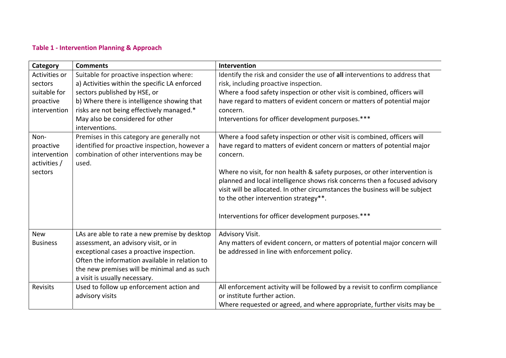# **Table 1 ‐ Intervention Planning & Approach**

| Category        | <b>Comments</b>                                | Intervention                                                                 |
|-----------------|------------------------------------------------|------------------------------------------------------------------------------|
| Activities or   | Suitable for proactive inspection where:       | Identify the risk and consider the use of all interventions to address that  |
| sectors         | a) Activities within the specific LA enforced  | risk, including proactive inspection.                                        |
| suitable for    | sectors published by HSE, or                   | Where a food safety inspection or other visit is combined, officers will     |
| proactive       | b) Where there is intelligence showing that    | have regard to matters of evident concern or matters of potential major      |
| intervention    | risks are not being effectively managed.*      | concern.                                                                     |
|                 | May also be considered for other               | Interventions for officer development purposes.***                           |
|                 | interventions.                                 |                                                                              |
| Non-            | Premises in this category are generally not    | Where a food safety inspection or other visit is combined, officers will     |
| proactive       | identified for proactive inspection, however a | have regard to matters of evident concern or matters of potential major      |
| intervention    | combination of other interventions may be      | concern.                                                                     |
| activities /    | used.                                          |                                                                              |
| sectors         |                                                | Where no visit, for non health & safety purposes, or other intervention is   |
|                 |                                                | planned and local intelligence shows risk concerns then a focused advisory   |
|                 |                                                | visit will be allocated. In other circumstances the business will be subject |
|                 |                                                | to the other intervention strategy**.                                        |
|                 |                                                | Interventions for officer development purposes.***                           |
|                 |                                                |                                                                              |
| <b>New</b>      | LAs are able to rate a new premise by desktop  | Advisory Visit.                                                              |
| <b>Business</b> | assessment, an advisory visit, or in           | Any matters of evident concern, or matters of potential major concern will   |
|                 | exceptional cases a proactive inspection.      | be addressed in line with enforcement policy.                                |
|                 | Often the information available in relation to |                                                                              |
|                 | the new premises will be minimal and as such   |                                                                              |
|                 | a visit is usually necessary.                  |                                                                              |
| Revisits        | Used to follow up enforcement action and       | All enforcement activity will be followed by a revisit to confirm compliance |
|                 | advisory visits                                | or institute further action.                                                 |
|                 |                                                | Where requested or agreed, and where appropriate, further visits may be      |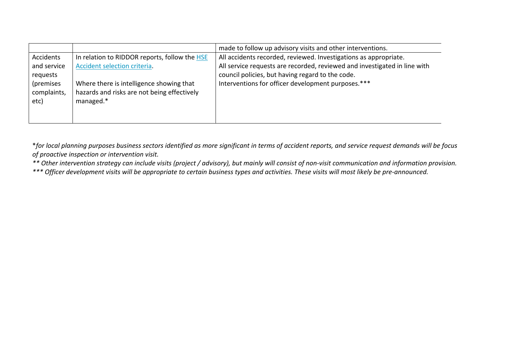|             |                                               | made to follow up advisory visits and other interventions.                |
|-------------|-----------------------------------------------|---------------------------------------------------------------------------|
| Accidents   | In relation to RIDDOR reports, follow the HSE | All accidents recorded, reviewed. Investigations as appropriate.          |
| and service | Accident selection criteria.                  | All service requests are recorded, reviewed and investigated in line with |
| requests    |                                               | council policies, but having regard to the code.                          |
| (premises   | Where there is intelligence showing that      | Interventions for officer development purposes.***                        |
| complaints, | hazards and risks are not being effectively   |                                                                           |
| etc)        | managed.*                                     |                                                                           |
|             |                                               |                                                                           |
|             |                                               |                                                                           |

\**for local planning purposes business sectors identified as more significant in terms of accident reports, and service request demands will be focus of proactive inspection or intervention visit.* 

*\*\* Other intervention strategy can include visits (project / advisory), but mainly will consist of non‐visit communication and information provision.* 

*\*\*\* Officer development visits will be appropriate to certain business types and activities. These visits will most likely be pre‐announced.*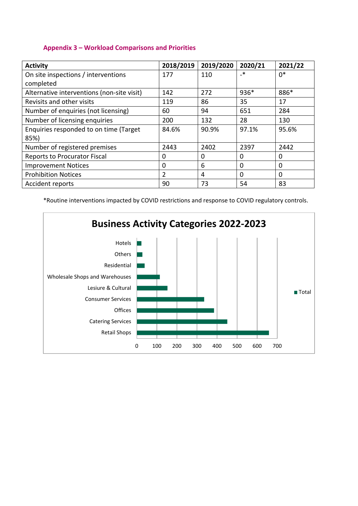# **Appendix 3 – Workload Comparisons and Priorities**

| <b>Activity</b>                            | 2018/2019      | 2019/2020 | 2020/21 | 2021/22 |
|--------------------------------------------|----------------|-----------|---------|---------|
| On site inspections / interventions        | 177            | 110       | $\cdot$ | $0*$    |
| completed                                  |                |           |         |         |
| Alternative interventions (non-site visit) | 142            | 272       | $936*$  | 886*    |
| Revisits and other visits                  | 119            | 86        | 35      | 17      |
| Number of enquiries (not licensing)        | 60             | 94        | 651     | 284     |
| Number of licensing enquiries              | 200            | 132       | 28      | 130     |
| Enquiries responded to on time (Target     | 84.6%          | 90.9%     | 97.1%   | 95.6%   |
| 85%)                                       |                |           |         |         |
| Number of registered premises              | 2443           | 2402      | 2397    | 2442    |
| <b>Reports to Procurator Fiscal</b>        | 0              | 0         | 0       | 0       |
| <b>Improvement Notices</b>                 | 0              | 6         | 0       | 0       |
| <b>Prohibition Notices</b>                 | $\overline{2}$ | 4         | 0       | 0       |
| <b>Accident reports</b>                    | 90             | 73        | 54      | 83      |

\*Routine interventions impacted by COVID restrictions and response to COVID regulatory controls.

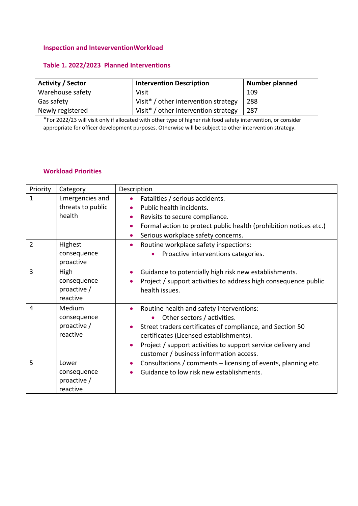#### **Inspection and InteverventionWorkload**

# **Table 1. 2022/2023 Planned Interventions**

| <b>Activity / Sector</b> | <b>Intervention Description</b>                  | <b>Number planned</b> |
|--------------------------|--------------------------------------------------|-----------------------|
| Warehouse safety         | Visit                                            | 109                   |
| Gas safety               | Visit <sup>*</sup> / other intervention strategy | 288                   |
| Newly registered         | Visit <sup>*</sup> / other intervention strategy | 287                   |

\*For 2022/23 will visit only if allocated with other type of higher risk food safety intervention, or consider appropriate for officer development purposes. Otherwise will be subject to other intervention strategy.

#### **Workload Priorities**

| Priority       | Category                                         | Description                                                                                                                                                                                                                                                                                                                       |
|----------------|--------------------------------------------------|-----------------------------------------------------------------------------------------------------------------------------------------------------------------------------------------------------------------------------------------------------------------------------------------------------------------------------------|
| 1              | Emergencies and<br>threats to public<br>health   | Fatalities / serious accidents.<br>$\bullet$<br>Public health incidents.<br>$\bullet$<br>Revisits to secure compliance.<br>$\bullet$<br>Formal action to protect public health (prohibition notices etc.)<br>$\bullet$<br>Serious workplace safety concerns.<br>$\bullet$                                                         |
| $\overline{2}$ | Highest<br>consequence<br>proactive              | Routine workplace safety inspections:<br>$\bullet$<br>Proactive interventions categories.                                                                                                                                                                                                                                         |
| 3              | High<br>consequence<br>proactive /<br>reactive   | Guidance to potentially high risk new establishments.<br>$\bullet$<br>Project / support activities to address high consequence public<br>$\bullet$<br>health issues.                                                                                                                                                              |
| 4              | Medium<br>consequence<br>proactive /<br>reactive | Routine health and safety interventions:<br>$\bullet$<br>Other sectors / activities.<br>Street traders certificates of compliance, and Section 50<br>$\bullet$<br>certificates (Licensed establishments).<br>Project / support activities to support service delivery and<br>$\bullet$<br>customer / business information access. |
| 5              | Lower<br>consequence<br>proactive /<br>reactive  | Consultations / comments - licensing of events, planning etc.<br>$\bullet$<br>Guidance to low risk new establishments.                                                                                                                                                                                                            |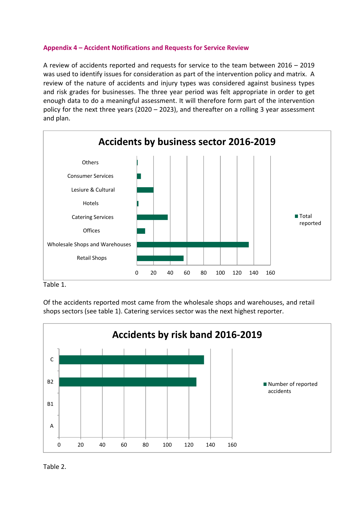# **Appendix 4 – Accident Notifications and Requests for Service Review**

A review of accidents reported and requests for service to the team between 2016 – 2019 was used to identify issues for consideration as part of the intervention policy and matrix. A review of the nature of accidents and injury types was considered against business types and risk grades for businesses. The three year period was felt appropriate in order to get enough data to do a meaningful assessment. It will therefore form part of the intervention policy for the next three years (2020 – 2023), and thereafter on a rolling 3 year assessment and plan.



Table 1.

Of the accidents reported most came from the wholesale shops and warehouses, and retail shops sectors (see table 1). Catering services sector was the next highest reporter.



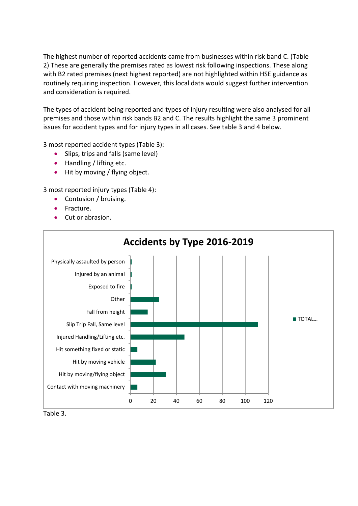The highest number of reported accidents came from businesses within risk band C. (Table 2) These are generally the premises rated as lowest risk following inspections. These along with B2 rated premises (next highest reported) are not highlighted within HSE guidance as routinely requiring inspection. However, this local data would suggest further intervention and consideration is required.

The types of accident being reported and types of injury resulting were also analysed for all premises and those within risk bands B2 and C. The results highlight the same 3 prominent issues for accident types and for injury types in all cases. See table 3 and 4 below.

3 most reported accident types (Table 3):

- Slips, trips and falls (same level)
- Handling / lifting etc.
- Hit by moving / flying object.

3 most reported injury types (Table 4):

- Contusion / bruising.
- Fracture.
- Cut or abrasion.



Table 3.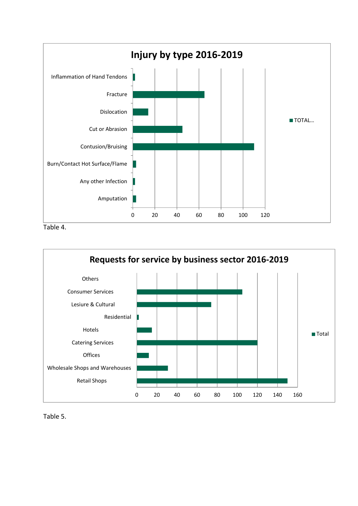

Table 4.



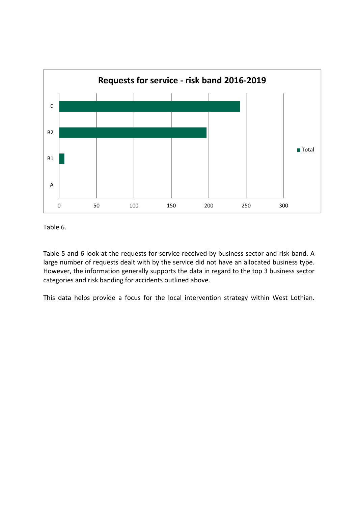

Table 6.

Table 5 and 6 look at the requests for service received by business sector and risk band. A large number of requests dealt with by the service did not have an allocated business type. However, the information generally supports the data in regard to the top 3 business sector categories and risk banding for accidents outlined above.

This data helps provide a focus for the local intervention strategy within West Lothian.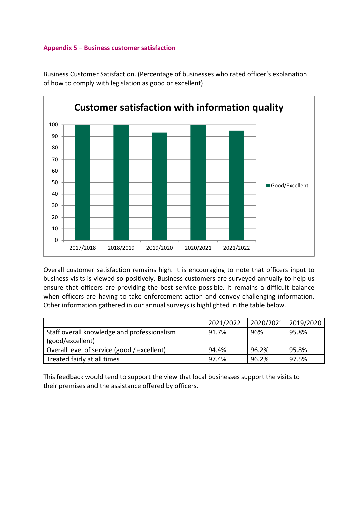## **Appendix 5 – Business customer satisfaction**



Business Customer Satisfaction. (Percentage of businesses who rated officer's explanation of how to comply with legislation as good or excellent)

Overall customer satisfaction remains high. It is encouraging to note that officers input to business visits is viewed so positively. Business customers are surveyed annually to help us ensure that officers are providing the best service possible. It remains a difficult balance when officers are having to take enforcement action and convey challenging information. Other information gathered in our annual surveys is highlighted in the table below.

|                                             | 2021/2022 | 2020/2021 2019/2020 |       |
|---------------------------------------------|-----------|---------------------|-------|
| Staff overall knowledge and professionalism | 91.7%     | 96%                 | 95.8% |
| (good/excellent)                            |           |                     |       |
| Overall level of service (good / excellent) | 94.4%     | 96.2%               | 95.8% |
| Treated fairly at all times                 | 97.4%     | 96.2%               | 97.5% |

This feedback would tend to support the view that local businesses support the visits to their premises and the assistance offered by officers.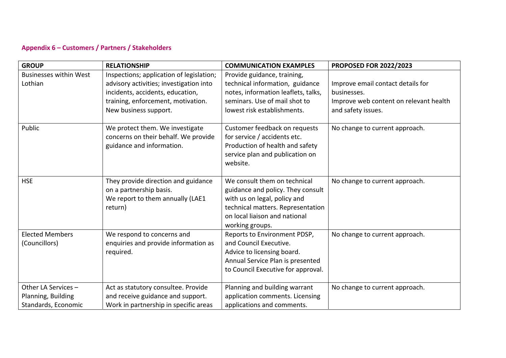# **Appendix 6 – Customers / Partners / Stakeholders**

| <b>GROUP</b>                                                     | <b>RELATIONSHIP</b>                                                                                                                                                                    | <b>COMMUNICATION EXAMPLES</b>                                                                                                                                                              | <b>PROPOSED FOR 2022/2023</b>                                                                                    |
|------------------------------------------------------------------|----------------------------------------------------------------------------------------------------------------------------------------------------------------------------------------|--------------------------------------------------------------------------------------------------------------------------------------------------------------------------------------------|------------------------------------------------------------------------------------------------------------------|
| <b>Businesses within West</b><br>Lothian                         | Inspections; application of legislation;<br>advisory activities; investigation into<br>incidents, accidents, education,<br>training, enforcement, motivation.<br>New business support. | Provide guidance, training,<br>technical information, guidance<br>notes, information leaflets, talks,<br>seminars. Use of mail shot to<br>lowest risk establishments.                      | Improve email contact details for<br>businesses.<br>Improve web content on relevant health<br>and safety issues. |
| Public                                                           | We protect them. We investigate<br>concerns on their behalf. We provide<br>guidance and information.                                                                                   | Customer feedback on requests<br>for service / accidents etc.<br>Production of health and safety<br>service plan and publication on<br>website.                                            | No change to current approach.                                                                                   |
| <b>HSE</b>                                                       | They provide direction and guidance<br>on a partnership basis.<br>We report to them annually (LAE1<br>return)                                                                          | We consult them on technical<br>guidance and policy. They consult<br>with us on legal, policy and<br>technical matters. Representation<br>on local liaison and national<br>working groups. | No change to current approach.                                                                                   |
| <b>Elected Members</b><br>(Councillors)                          | We respond to concerns and<br>enquiries and provide information as<br>required.                                                                                                        | Reports to Environment PDSP,<br>and Council Executive.<br>Advice to licensing board.<br>Annual Service Plan is presented<br>to Council Executive for approval.                             | No change to current approach.                                                                                   |
| Other LA Services -<br>Planning, Building<br>Standards, Economic | Act as statutory consultee. Provide<br>and receive guidance and support.<br>Work in partnership in specific areas                                                                      | Planning and building warrant<br>application comments. Licensing<br>applications and comments.                                                                                             | No change to current approach.                                                                                   |